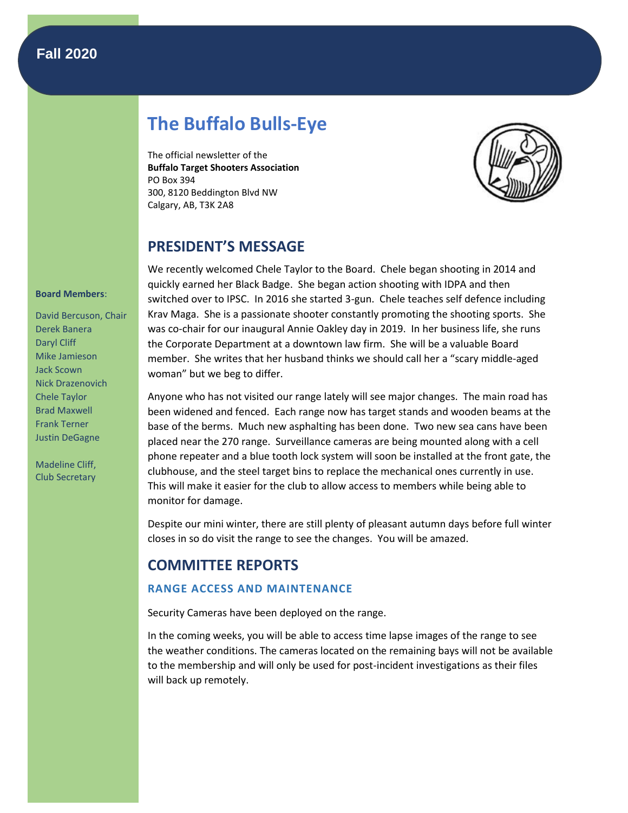# **Fall 2020**

# **The Buffalo Bulls-Eye**

The official newsletter of the **Buffalo Target Shooters Association** PO Box 394 300, 8120 Beddington Blvd NW Calgary, AB, T3K 2A8



## **PRESIDENT'S MESSAGE**

We recently welcomed Chele Taylor to the Board. Chele began shooting in 2014 and quickly earned her Black Badge. She began action shooting with IDPA and then switched over to IPSC. In 2016 she started 3-gun. Chele teaches self defence including Krav Maga. She is a passionate shooter constantly promoting the shooting sports. She was co-chair for our inaugural Annie Oakley day in 2019. In her business life, she runs the Corporate Department at a downtown law firm. She will be a valuable Board member. She writes that her husband thinks we should call her a "scary middle-aged woman" but we beg to differ.

Anyone who has not visited our range lately will see major changes. The main road has been widened and fenced. Each range now has target stands and wooden beams at the base of the berms. Much new asphalting has been done. Two new sea cans have been placed near the 270 range. Surveillance cameras are being mounted along with a cell phone repeater and a blue tooth lock system will soon be installed at the front gate, the clubhouse, and the steel target bins to replace the mechanical ones currently in use. This will make it easier for the club to allow access to members while being able to monitor for damage.

Despite our mini winter, there are still plenty of pleasant autumn days before full winter closes in so do visit the range to see the changes. You will be amazed.

# **COMMITTEE REPORTS**

## **RANGE ACCESS AND MAINTENANCE**

Security Cameras have been deployed on the range.

In the coming weeks, you will be able to access time lapse images of the range to see the weather conditions. The cameras located on the remaining bays will not be available to the membership and will only be used for post-incident investigations as their files will back up remotely.

#### **Board Members**:

David Bercuson, Chair Derek Banera Daryl Cliff Mike Jamieson Jack Scown Nick Drazenovich Chele Taylor Brad Maxwell Frank Terner Justin DeGagne

Madeline Cliff, Club Secretary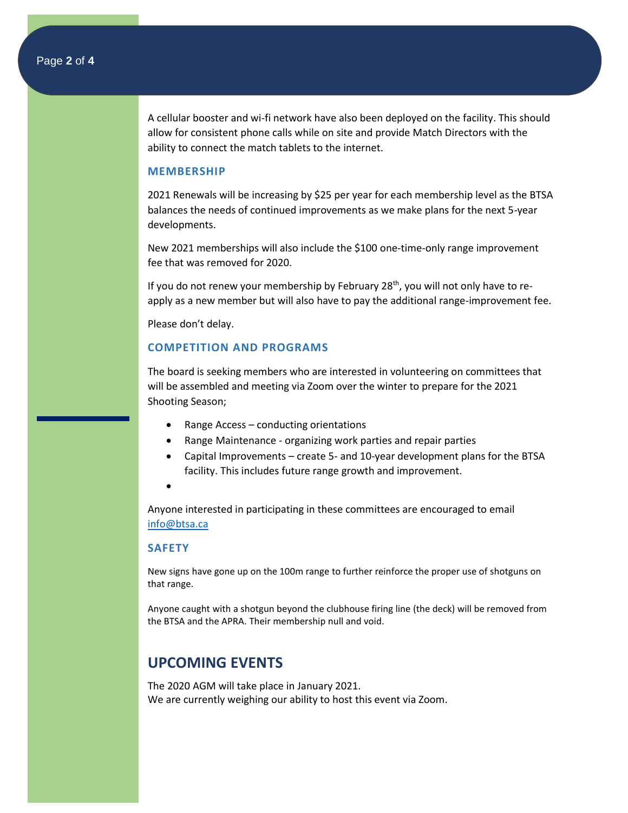A cellular booster and wi-fi network have also been deployed on the facility. This should allow for consistent phone calls while on site and provide Match Directors with the ability to connect the match tablets to the internet.

#### **MEMBERSHIP**

2021 Renewals will be increasing by \$25 per year for each membership level as the BTSA balances the needs of continued improvements as we make plans for the next 5-year developments.

New 2021 memberships will also include the \$100 one-time-only range improvement fee that was removed for 2020.

If you do not renew your membership by February 28<sup>th</sup>, you will not only have to reapply as a new member but will also have to pay the additional range-improvement fee.

Please don't delay.

## **COMPETITION AND PROGRAMS**

The board is seeking members who are interested in volunteering on committees that will be assembled and meeting via Zoom over the winter to prepare for the 2021 Shooting Season;

- Range Access conducting orientations
- Range Maintenance organizing work parties and repair parties
- Capital Improvements create 5- and 10-year development plans for the BTSA facility. This includes future range growth and improvement.
- •

Anyone interested in participating in these committees are encouraged to email [info@btsa.ca](mailto:info@btsa.ca)

### **SAFETY**

New signs have gone up on the 100m range to further reinforce the proper use of shotguns on that range.

Anyone caught with a shotgun beyond the clubhouse firing line (the deck) will be removed from the BTSA and the APRA. Their membership null and void.

## **UPCOMING EVENTS**

The 2020 AGM will take place in January 2021. We are currently weighing our ability to host this event via Zoom.